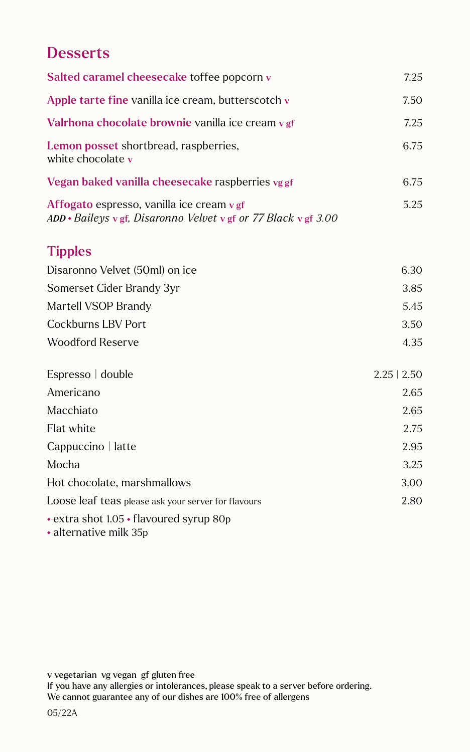## **Desserts**

| Salted caramel cheesecake toffee popcorn v                                                                         | 7.25             |
|--------------------------------------------------------------------------------------------------------------------|------------------|
| Apple tarte fine vanilla ice cream, butterscotch v                                                                 | 7.50             |
| Valrhona chocolate brownie vanilla ice cream v gf                                                                  | 7.25             |
| Lemon posset shortbread, raspberries,<br>white chocolate v                                                         | 6.75             |
| Vegan baked vanilla cheesecake raspberries vg gf                                                                   | 6.75             |
| Affogato espresso, vanilla ice cream v gf<br>$ADD * Baileys \vee gf$ , Disaronno Velvet v gf or 77 Black v gf 3.00 | 5.25             |
| <b>Tipples</b>                                                                                                     |                  |
| Disaronno Velvet (50ml) on ice                                                                                     | 6.30             |
| Somerset Cider Brandy 3yr                                                                                          | 3.85             |
| Martell VSOP Brandy                                                                                                | 5.45             |
| <b>Cockburns LBV Port</b>                                                                                          | 3.50             |
| <b>Woodford Reserve</b>                                                                                            | 4.35             |
| Espresso   double                                                                                                  | $2.25 \mid 2.50$ |
| Americano                                                                                                          | 2.65             |
| Macchiato                                                                                                          | 2.65             |
| Flat white                                                                                                         | 2.75             |
| Cappuccino   latte                                                                                                 | 2.95             |
| Mocha                                                                                                              | 3.25             |
| Hot chocolate, marshmallows                                                                                        | 3.00             |
| Loose leaf teas please ask your server for flavours                                                                | 2.80             |
| • extra shot 1.05 • flavoured syrup 80p<br>• alternative milk 35p                                                  |                  |

v vegetarian vg vegan gf gluten free

If you have any allergies or intolerances, please speak to a server before ordering. We cannot guarantee any of our dishes are 100% free of allergens